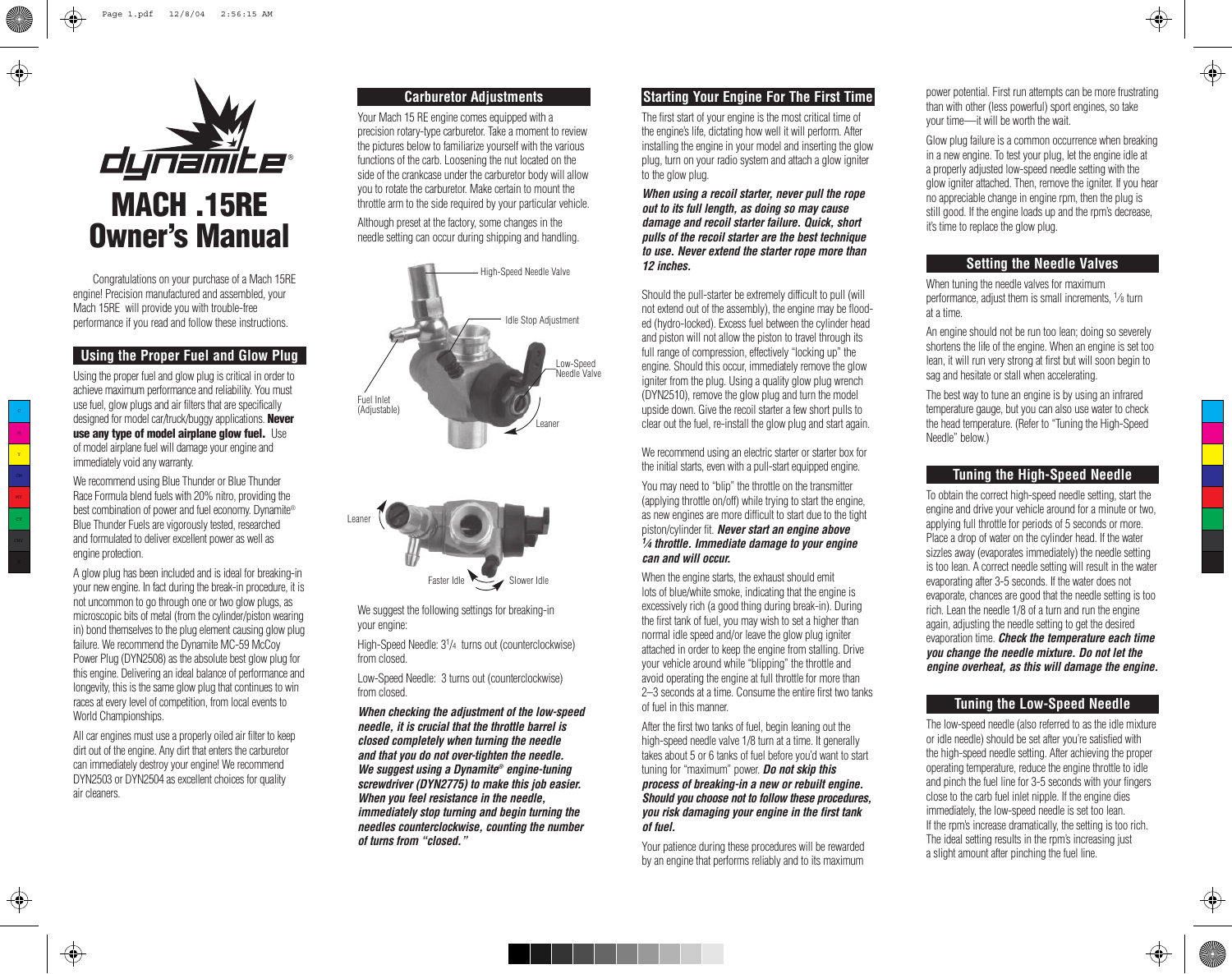

Congratulations on your purchase of a Mach 15RE engine! Precision manufactured and assembled, your Mach 15RE will provide you with trouble-free performance if you read and follow these instructions.

### **Using the Proper Fuel and Glow Plug**

Using the proper fuel and glow plug is critical in order to achieve maximum performance and reliability. You must use fuel, glow plugs and air filters that are specifically designed for model car/truck/buggy applications. **Never** use any type of model airplane glow fuel. Use of model airplane fuel will damage your engine and immediately void any warranty.

We recommend using Blue Thunder or Blue Thunder Race Formula blend fuels with 20% nitro, providing the best combination of power and fuel economy. Dynamite® Blue Thunder Fuels are vigorously tested, researched and formulated to deliver excellent power as well as engine protection.

A glow plug has been included and is ideal for breaking-in your new engine. In fact during the break-in procedure, it is not uncommon to go through one or two glow plugs, as microscopic bits of metal (from the cylinder/piston wearing in) bond themselves to the plug element causing glow plug failure. We recommend the Dynamite MC-59 McCoy Power Plug (DYN2508) as the absolute best glow plug for this engine. Delivering an ideal balance of performance and longevity, this is the same glow plug that continues to win races at every level of competition, from local events to World Championships.

All car engines must use a properly oiled air filter to keep dirt out of the engine. Any dirt that enters the carburetor can immediately destroy your engine! We recommend DYN2503 or DYN2504 as excellent choices for quality air cleaners.

# **Carburetor Adjustments**

Your Mach 15 RE engine comes equipped with a precision rotary-type carburetor. Take a moment to review the pictures below to familiarize yourself with the various functions of the carb. Loosening the nut located on the side of the crankcase under the carburetor body will allow you to rotate the carburetor. Make certain to mount the throttle arm to the side required by your particular vehicle.

Although preset at the factory, some changes in the needle setting can occur during shipping and handling.





We suggest the following settings for breaking-in your engine:

High-Speed Needle: 31 /4 turns out (counterclockwise) from closed.

Low-Speed Needle: 3 turns out (counterclockwise) from closed.

**When checking the adjustment of the low-speed needle, it is crucial that the throttle barrel is closed completely when turning the needle and that you do not over-tighten the needle. We suggest using a Dynamite® engine-tuning screwdriver (DYN2775) to make this job easier. When you feel resistance in the needle, immediately stop turning and begin turning the needles counterclockwise, counting the number of turns from "closed."**

## **Starting Your Engine For The First Time**

The first start of your engine is the most critical time of the engine's life, dictating how well it will perform. After installing the engine in your model and inserting the glow plug, turn on your radio system and attach a glow igniter to the glow plug.

**When using a recoil starter, never pull the rope out to its full length, as doing so may cause damage and recoil starter failure. Quick, short pulls of the recoil starter are the best technique to use. Never extend the starter rope more than 12 inches.**

Should the pull-starter be extremely difficult to pull (will not extend out of the assembly), the engine may be flooded (hydro-locked). Excess fuel between the cylinder head and piston will not allow the piston to travel through its full range of compression, effectively "locking up" the engine. Should this occur, immediately remove the glow igniter from the plug. Using a quality glow plug wrench (DYN2510), remove the glow plug and turn the model upside down. Give the recoil starter a few short pulls to clear out the fuel, re-install the glow plug and start again.

We recommend using an electric starter or starter box for the initial starts, even with a pull-start equipped engine.

You may need to "blip" the throttle on the transmitter (applying throttle on/off) while trying to start the engine, as new engines are more difficult to start due to the tight piston/cylinder fit. **Never start an engine above 1 ⁄4 throttle. Immediate damage to your engine can and will occur.**

When the engine starts, the exhaust should emit lots of blue/white smoke, indicating that the engine is excessively rich (a good thing during break-in). During the first tank of fuel, you may wish to set a higher than normal idle speed and/or leave the glow plug igniter attached in order to keep the engine from stalling. Drive your vehicle around while "blipping" the throttle and avoid operating the engine at full throttle for more than 2–3 seconds at a time. Consume the entire first two tanks of fuel in this manner.

After the first two tanks of fuel, begin leaning out the high-speed needle valve 1/8 turn at a time. It generally takes about 5 or 6 tanks of fuel before you'd want to start tuning for "maximum" power. **Do not skip this process of breaking-in a new or rebuilt engine. Should you choose not to follow these procedures, you risk damaging your engine in the first tank of fuel.**

Your patience during these procedures will be rewarded by an engine that performs reliably and to its maximum power potential. First run attempts can be more frustrating than with other (less powerful) sport engines, so take your time—it will be worth the wait.

 $\Leftrightarrow$ 

Glow plug failure is a common occurrence when breaking in a new engine. To test your plug, let the engine idle at a properly adjusted low-speed needle setting with the glow igniter attached. Then, remove the igniter. If you hear no appreciable change in engine rpm, then the plug is still good. If the engine loads up and the rpm's decrease, it's time to replace the glow plug.

### **Setting the Needle Valves**

When tuning the needle valves for maximum performance, adjust them is small increments, 1⁄8 turn at a time.

An engine should not be run too lean; doing so severely shortens the life of the engine. When an engine is set too lean, it will run very strong at first but will soon begin to sag and hesitate or stall when accelerating.

The best way to tune an engine is by using an infrared temperature gauge, but you can also use water to check the head temperature. (Refer to "Tuning the High-Speed Needle" below.)

### **Tuning the High-Speed Needle**

To obtain the correct high-speed needle setting, start the engine and drive your vehicle around for a minute or two, applying full throttle for periods of 5 seconds or more. Place a drop of water on the cylinder head. If the water sizzles away (evaporates immediately) the needle setting is too lean. A correct needle setting will result in the water evaporating after 3-5 seconds. If the water does not evaporate, chances are good that the needle setting is too rich. Lean the needle 1/8 of a turn and run the engine again, adjusting the needle setting to get the desired evaporation time. **Check the temperature each time you change the needle mixture. Do not let the engine overheat, as this will damage the engine.**

# **Tuning the Low-Speed Needle**

The low-speed needle (also referred to as the idle mixture or idle needle) should be set after you're satisfied with the high-speed needle setting. After achieving the proper operating temperature, reduce the engine throttle to idle and pinch the fuel line for 3-5 seconds with your fingers close to the carb fuel inlet nipple. If the engine dies immediately, the low-speed needle is set too lean. If the rpm's increase dramatically, the setting is too rich. The ideal setting results in the rpm's increasing just a slight amount after pinching the fuel line.

♠

↔

M  $\mathbf{y}$ 

 $\bigoplus$ 

MY